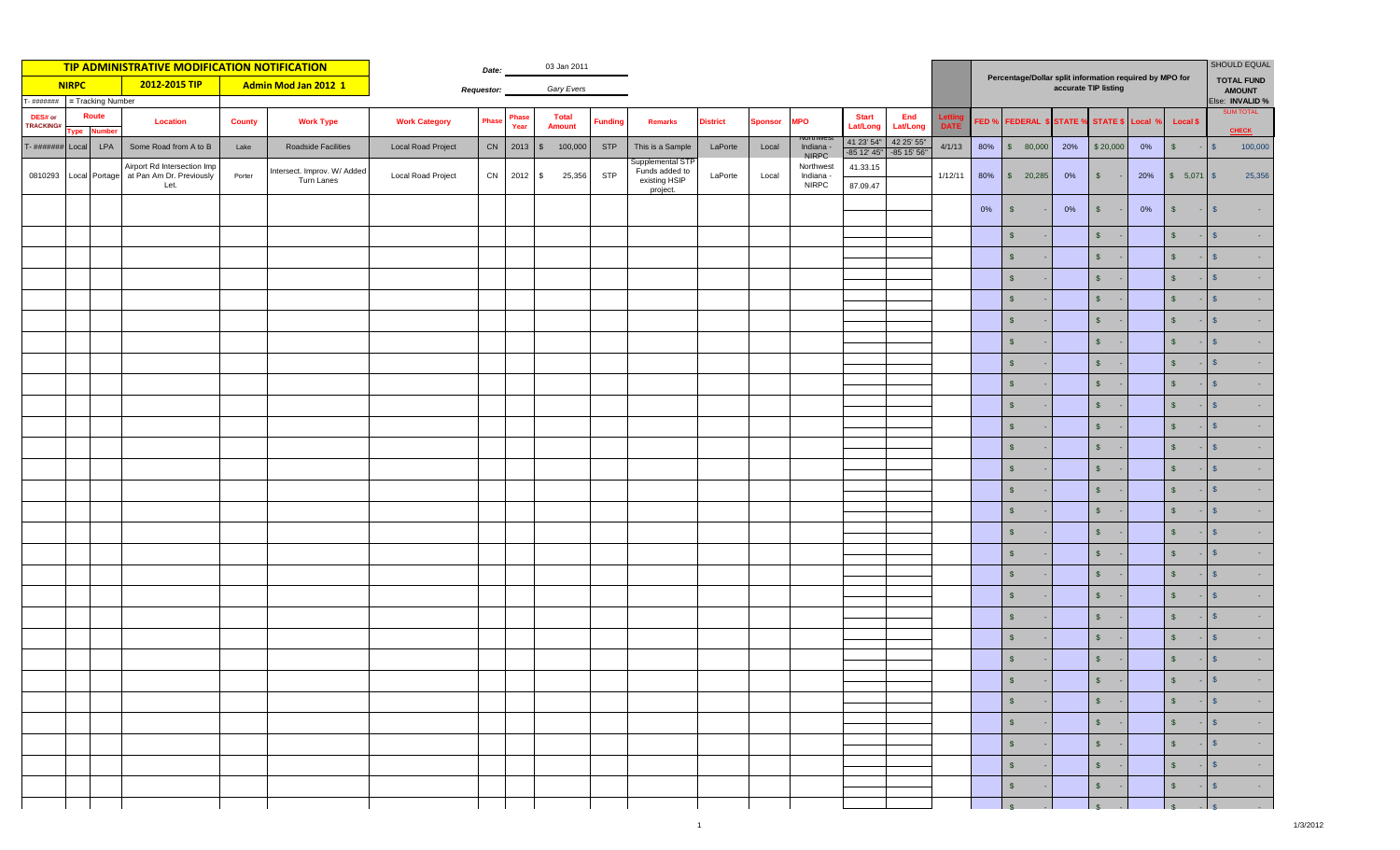| TIP ADMINISTRATIVE MODIFICATION NOTIFICATION |                                |                        |                                                                 |               |                                           |                           | Date:             |               | 03 Jan 2011                   |                |                                                                 |                 |                |                                        |                           |                           |                                                                                 | SHOULD EQUAL     |                           |       |                |                |                                     |                               |  |
|----------------------------------------------|--------------------------------|------------------------|-----------------------------------------------------------------|---------------|-------------------------------------------|---------------------------|-------------------|---------------|-------------------------------|----------------|-----------------------------------------------------------------|-----------------|----------------|----------------------------------------|---------------------------|---------------------------|---------------------------------------------------------------------------------|------------------|---------------------------|-------|----------------|----------------|-------------------------------------|-------------------------------|--|
| <b>NIRPC</b><br>2012-2015 TIP                |                                |                        |                                                                 |               | Admin Mod Jan 2012 1                      |                           | <b>Requestor:</b> | Gary Evers    |                               |                |                                                                 |                 |                |                                        |                           |                           | Percentage/Dollar split information required by MPO for<br>accurate TIP listing |                  |                           |       |                |                | <b>TOTAL FUND</b><br><b>AMOUNT</b>  |                               |  |
|                                              | = Tracking Number<br>- ####### |                        |                                                                 |               |                                           |                           |                   |               |                               |                |                                                                 |                 |                |                                        |                           |                           |                                                                                 |                  |                           |       |                |                | Else: INVALID %<br><b>SUM TOTAL</b> |                               |  |
| DES# or<br>TRACKING#                         | ype                            | Route<br><b>Number</b> | <b>Location</b>                                                 | <b>County</b> | <b>Work Type</b>                          | <b>Work Category</b>      | <b>Phase</b>      | Phase<br>Year | <b>Total</b><br><b>Amount</b> | <b>Funding</b> | <b>Remarks</b>                                                  | <b>District</b> | <b>Sponsor</b> | <b>MPO</b>                             | <b>Start</b><br>Lat/Long  | End<br><b>Lat/Long</b>    | Letti<br><b>DATE</b>                                                            | FED <sub>9</sub> | <b>FEDERAL \$ STATE %</b> |       | STATE \$       | <b>Pocal</b> ۹ | <b>Local \$</b>                     | <b>CHECK</b>                  |  |
| $T - \# \# \# \# \# \# \#$                   | Local                          | LPA                    | Some Road from A to B                                           | Lake          | Roadside Facilities                       | <b>Local Road Project</b> |                   | CN 2013       | $\sqrt{3}$<br>100,000         | <b>STP</b>     | This is a Sample                                                | LaPorte         | Local          | Indiana<br>NIRPC                       | 41 23' 54"<br>-85 12' 45" | 42 25' 55"<br>-85 15' 56" | 4/1/13                                                                          | 80%              | \$80,000                  | 20%   | \$20,000       | $0\%$          | $\sqrt{2}$                          | 100,000<br>\$                 |  |
| 0810293                                      |                                | Local Portage          | Airport Rd Intersection Imp<br>at Pan Am Dr. Previously<br>Let. | Porter        | Intersect. Improv. W/ Added<br>Turn Lanes | <b>Local Road Project</b> | CN                | $2012$ \$     | 25,356                        | <b>STP</b>     | Supplemental STF<br>Funds added to<br>existing HSIP<br>project. | LaPorte         | Local          | Northwest<br>Indiana -<br><b>NIRPC</b> | 41.33.15<br>87.09.47      |                           | 1/12/11                                                                         | 80%              | \$ 20,285                 | 0%    | $\sqrt{5}$     | 20%            | \$ 5,071                            | 25,356<br>$\sqrt{5}$          |  |
|                                              |                                |                        |                                                                 |               |                                           |                           |                   |               |                               |                |                                                                 |                 |                |                                        |                           |                           |                                                                                 | 0%               | $\sqrt{2}$                | $0\%$ | $\sqrt{5}$     | $0\%$          | $\sqrt{3}$                          | $\mathcal{S}$                 |  |
|                                              |                                |                        |                                                                 |               |                                           |                           |                   |               |                               |                |                                                                 |                 |                |                                        |                           |                           |                                                                                 |                  | $\sqrt{2}$                |       | $\mathsf{\$}$  |                | $\mathsf{s}$                        | S                             |  |
|                                              |                                |                        |                                                                 |               |                                           |                           |                   |               |                               |                |                                                                 |                 |                |                                        |                           |                           |                                                                                 |                  | $\sqrt[6]{\frac{1}{2}}$   |       | $\mathsf{s}$   |                | $\mathsf{s}$                        | $\mathbf{s}$                  |  |
|                                              |                                |                        |                                                                 |               |                                           |                           |                   |               |                               |                |                                                                 |                 |                |                                        |                           |                           |                                                                                 |                  | $\sqrt{2}$                |       | $\mathfrak{s}$ |                | $\sqrt{5}$                          | S                             |  |
|                                              |                                |                        |                                                                 |               |                                           |                           |                   |               |                               |                |                                                                 |                 |                |                                        |                           |                           |                                                                                 |                  | $\mathsf{\$}$             |       | $\sqrt{2}$     |                | $\mathsf{s}$                        | S                             |  |
|                                              |                                |                        |                                                                 |               |                                           |                           |                   |               |                               |                |                                                                 |                 |                |                                        |                           |                           |                                                                                 |                  | $\sqrt{2}$                |       | $\sqrt{3}$     |                | $\sqrt{3}$                          | $\mathbf{s}$                  |  |
|                                              |                                |                        |                                                                 |               |                                           |                           |                   |               |                               |                |                                                                 |                 |                |                                        |                           |                           |                                                                                 |                  | $\sqrt{2}$                |       | $\sqrt{2}$     |                | $\sqrt{2}$                          | S                             |  |
|                                              |                                |                        |                                                                 |               |                                           |                           |                   |               |                               |                |                                                                 |                 |                |                                        |                           |                           |                                                                                 |                  | $\sqrt[6]{\frac{1}{2}}$   |       | $\sqrt{2}$     |                | $\sqrt{2}$                          | $\mathcal{S}$                 |  |
|                                              |                                |                        |                                                                 |               |                                           |                           |                   |               |                               |                |                                                                 |                 |                |                                        |                           |                           |                                                                                 |                  | $\sqrt[6]{\frac{1}{2}}$   |       | $\sqrt{5}$     |                | $\sqrt{2}$                          | S                             |  |
|                                              |                                |                        |                                                                 |               |                                           |                           |                   |               |                               |                |                                                                 |                 |                |                                        |                           |                           |                                                                                 |                  | $\sqrt{2}$                |       | $\sqrt{2}$     |                | $\sqrt{3}$                          | $\mathsf{S}$                  |  |
|                                              |                                |                        |                                                                 |               |                                           |                           |                   |               |                               |                |                                                                 |                 |                |                                        |                           |                           |                                                                                 |                  | $\sqrt{2}$                |       | $\sqrt{2}$     |                | $\sqrt{2}$                          | S                             |  |
|                                              |                                |                        |                                                                 |               |                                           |                           |                   |               |                               |                |                                                                 |                 |                |                                        |                           |                           |                                                                                 |                  | $\sqrt{2}$                |       | $\sqrt{2}$     |                | $$\mathbb{S}$$                      | $\mathbf{s}$                  |  |
|                                              |                                |                        |                                                                 |               |                                           |                           |                   |               |                               |                |                                                                 |                 |                |                                        |                           |                           |                                                                                 |                  | $\sqrt{2}$                |       | $\sqrt{3}$     |                | $$\mathbb{S}$$                      | $\mathbf{s}$                  |  |
|                                              |                                |                        |                                                                 |               |                                           |                           |                   |               |                               |                |                                                                 |                 |                |                                        |                           |                           |                                                                                 |                  | $\sqrt{2}$                |       | $\sqrt{2}$     |                | $$\mathbb{S}$$                      | $\mathbf{s}$                  |  |
|                                              |                                |                        |                                                                 |               |                                           |                           |                   |               |                               |                |                                                                 |                 |                |                                        |                           |                           |                                                                                 |                  | $\sqrt{2}$                |       | $\mathfrak{s}$ |                | $\mathsf{s}$                        | $\mathbf{s}$                  |  |
|                                              |                                |                        |                                                                 |               |                                           |                           |                   |               |                               |                |                                                                 |                 |                |                                        |                           |                           |                                                                                 |                  | $\sqrt{2}$                |       | $\sqrt{2}$     |                | $\mathsf{s}$                        | S                             |  |
|                                              |                                |                        |                                                                 |               |                                           |                           |                   |               |                               |                |                                                                 |                 |                |                                        |                           |                           |                                                                                 |                  | $\sqrt{2}$                |       | $\mathfrak{s}$ |                | $\mathsf{s}$                        | $\mathbf{s}$                  |  |
|                                              |                                |                        |                                                                 |               |                                           |                           |                   |               |                               |                |                                                                 |                 |                |                                        |                           |                           |                                                                                 |                  | $\sqrt[6]{\frac{1}{2}}$   |       | $\mathsf{\$}$  |                | $\mathsf{s}$                        | S                             |  |
|                                              |                                |                        |                                                                 |               |                                           |                           |                   |               |                               |                |                                                                 |                 |                |                                        |                           |                           |                                                                                 |                  | $\sqrt{2}$                |       | $\sqrt{2}$     |                | $\sqrt{2}$                          | $\mathcal{S}$                 |  |
|                                              |                                |                        |                                                                 |               |                                           |                           |                   |               |                               |                |                                                                 |                 |                |                                        |                           |                           |                                                                                 |                  | $\sqrt{2}$                |       | $\sqrt{2}$     |                | $\sqrt{2}$                          | S                             |  |
|                                              |                                |                        |                                                                 |               |                                           |                           |                   |               |                               |                |                                                                 |                 |                |                                        |                           |                           |                                                                                 |                  | $\sqrt{2}$                |       | $\sqrt{2}$     |                | $\sqrt{2}$                          | S                             |  |
|                                              |                                |                        |                                                                 |               |                                           |                           |                   |               |                               |                |                                                                 |                 |                |                                        |                           |                           |                                                                                 |                  | $\sqrt{2}$                |       | $\mathsf{\$}$  |                | $\sqrt{5}$                          | S                             |  |
|                                              |                                |                        |                                                                 |               |                                           |                           |                   |               |                               |                |                                                                 |                 |                |                                        |                           |                           |                                                                                 |                  | $$\mathbb{S}$$            |       | $\frac{1}{2}$  |                | $$\mathbb{S}$$                      |                               |  |
|                                              |                                |                        |                                                                 |               |                                           |                           |                   |               |                               |                |                                                                 |                 |                |                                        |                           |                           |                                                                                 |                  | $\sqrt{5}$                |       | $S -$          |                | $S - S$                             | <b>Contract</b>               |  |
|                                              |                                |                        |                                                                 |               |                                           |                           |                   |               |                               |                |                                                                 |                 |                |                                        |                           |                           |                                                                                 |                  | $$\mathbb{S}$$            |       | $S -$          |                | $S$ -                               | s <br><b>Contract</b>         |  |
|                                              |                                |                        |                                                                 |               |                                           |                           |                   |               |                               |                |                                                                 |                 |                |                                        |                           |                           |                                                                                 |                  | $\sqrt{2}$                |       | $S -$          |                | $S$ .                               | $\sqrt{S}$<br><b>Contract</b> |  |
|                                              |                                |                        |                                                                 |               |                                           |                           |                   |               |                               |                |                                                                 |                 |                |                                        |                           |                           |                                                                                 |                  | $$\mathbb{S}$$            |       | $S -$          |                | $S$ -                               | $\sqrt{s}$<br>$\sim 1000$     |  |
|                                              |                                |                        |                                                                 |               |                                           |                           |                   |               |                               |                |                                                                 |                 |                |                                        |                           |                           |                                                                                 |                  | $\sqrt[6]{\frac{1}{2}}$   |       | $S$ -          |                | $S$ -                               | $\sqrt{S}$<br>$\sim$          |  |
|                                              |                                |                        |                                                                 |               |                                           |                           |                   |               |                               |                |                                                                 |                 |                |                                        |                           |                           |                                                                                 |                  | $\frac{1}{s}$             |       | $\sqrt{s}$     |                | $\mathbf{s}$                        | $-1$ s                        |  |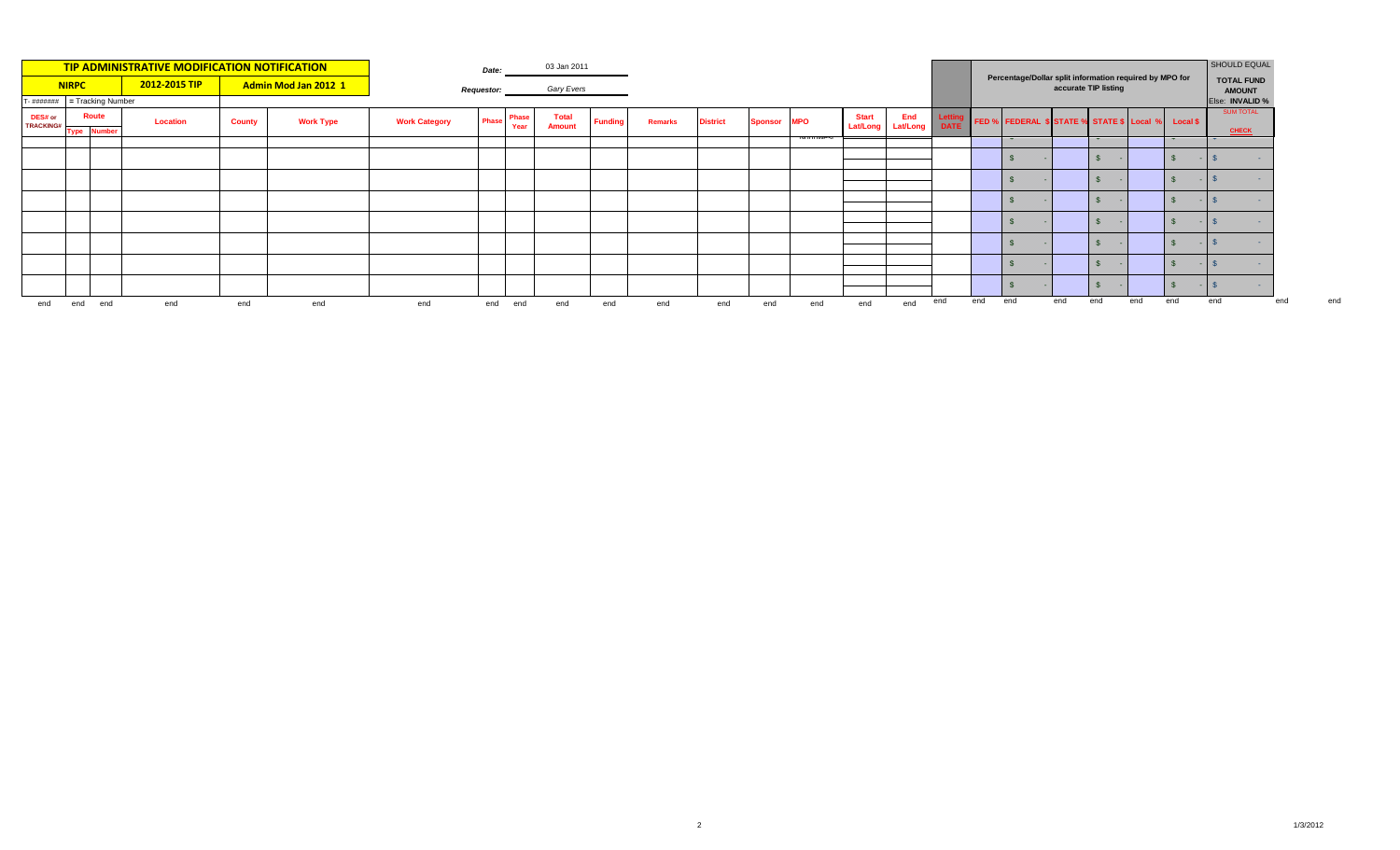| TIP ADMINISTRATIVE MODIFICATION NOTIFICATION<br>2012-2015 TIP<br>Admin Mod Jan 2012 1<br><b>NIRPC</b> |     |                    |          |               |                  | Date:                |            | 03 Jan 2011   |                               |                |                |                 |         |            |                                   |     |                                                                                 |     | SHOULD EQUAL                                       |     |     |                                    |                    |                                       |     |
|-------------------------------------------------------------------------------------------------------|-----|--------------------|----------|---------------|------------------|----------------------|------------|---------------|-------------------------------|----------------|----------------|-----------------|---------|------------|-----------------------------------|-----|---------------------------------------------------------------------------------|-----|----------------------------------------------------|-----|-----|------------------------------------|--------------------|---------------------------------------|-----|
|                                                                                                       |     |                    |          |               |                  | <b>Requestor:</b>    | Gary Evers |               |                               |                |                |                 |         |            |                                   |     | Percentage/Dollar split information required by MPO for<br>accurate TIP listing |     |                                                    |     |     | <b>TOTAL FUND</b><br><b>AMOUNT</b> |                    |                                       |     |
| $T - \frac{\mu}{\mu}$ = Tracking Number                                                               |     |                    |          |               |                  |                      |            |               |                               |                |                |                 |         |            |                                   |     |                                                                                 |     |                                                    |     |     |                                    |                    | Else: INVALID %                       |     |
| DES# or<br><b>TRACKING#</b>                                                                           |     | <b>Route</b>       | Location | <b>County</b> | <b>Work Type</b> | <b>Work Category</b> | Phase      | Phase<br>Year | <b>Total</b><br><b>Amount</b> | <b>Funding</b> | <b>Remarks</b> | <b>District</b> | Sponsor | <b>MPO</b> | <b>Start</b><br>Lat/Long Lat/Long | End | DATE                                                                            |     | FED % FEDERAL \$ STATE % STATE \$ Local % Local \$ |     |     |                                    |                    | <b>SUM TOTAL</b>                      |     |
|                                                                                                       |     | <b>Type Number</b> |          |               |                  |                      |            |               |                               |                |                |                 |         |            |                                   |     |                                                                                 |     | $\mathbf{\mathbf{v}}$                              |     |     |                                    | $\mathbf{\ddot{}}$ | <b>CHECK</b><br>$\tilde{\phantom{a}}$ |     |
|                                                                                                       |     |                    |          |               |                  |                      |            |               |                               |                |                |                 |         |            |                                   |     |                                                                                 |     |                                                    |     |     |                                    |                    |                                       |     |
|                                                                                                       |     |                    |          |               |                  |                      |            |               |                               |                |                |                 |         |            |                                   |     |                                                                                 |     |                                                    |     |     |                                    |                    |                                       |     |
|                                                                                                       |     |                    |          |               |                  |                      |            |               |                               |                |                |                 |         |            |                                   |     |                                                                                 |     |                                                    |     |     |                                    |                    |                                       |     |
|                                                                                                       |     |                    |          |               |                  |                      |            |               |                               |                |                |                 |         |            |                                   |     |                                                                                 |     |                                                    |     |     |                                    |                    |                                       |     |
|                                                                                                       |     |                    |          |               |                  |                      |            |               |                               |                |                |                 |         |            |                                   |     |                                                                                 |     |                                                    |     |     |                                    |                    |                                       |     |
|                                                                                                       |     |                    |          |               |                  |                      |            |               |                               |                |                |                 |         |            |                                   |     |                                                                                 |     |                                                    |     |     |                                    |                    |                                       |     |
|                                                                                                       |     |                    |          |               |                  |                      |            |               |                               |                |                |                 |         |            |                                   |     |                                                                                 |     |                                                    |     |     |                                    |                    |                                       |     |
| end                                                                                                   | end | end                | end      | end           | end              | end                  | end        | end           | end                           | end            | end            | end             | end     | end        | end                               | end | end                                                                             | end | end                                                | end | end | end                                | end                | end                                   | end |